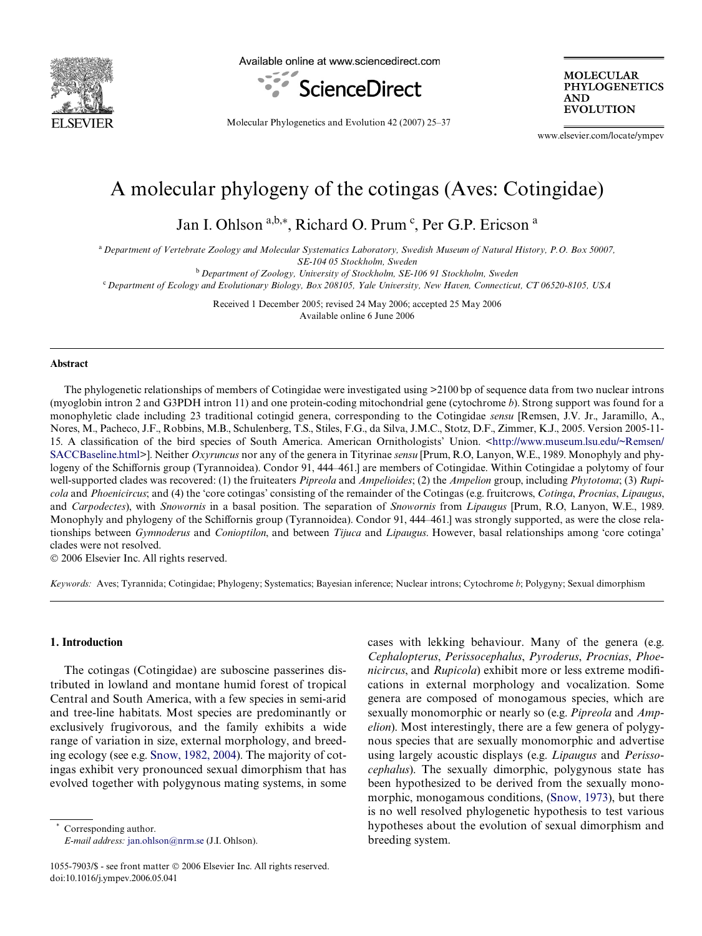

Available online at www.sciencedirect.com



**MOLECULAR PHYLOGENETICS AND EVOLUTION** 

Molecular Phylogenetics and Evolution 42 (2007) 25–37

www.elsevier.com/locate/ympev

# A molecular phylogeny of the cotingas (Aves: Cotingidae)

Jan I. Ohlson a,b, $*$ , Richard O. Prum<sup>c</sup>, Per G.P. Ericson a

<sup>a</sup>*Department of Vertebrate Zoology and Molecular Systematics Laboratory, Swedish Museum of Natural History, P.O. Box 50007, SE-104 05 Stockholm, Sweden*

<sup>b</sup>*Department of Zoology, University of Stockholm, SE-106 91 Stockholm, Sweden* <sup>c</sup>*Department of Ecology and Evolutionary Biology, Box 208105, Yale University, New Haven, Connecticut, CT 06520-8105, USA*

> Received 1 December 2005; revised 24 May 2006; accepted 25 May 2006 Available online 6 June 2006

#### **Abstract**

The phylogenetic relationships of members of Cotingidae were investigated using >2100 bp of sequence data from two nuclear introns (myoglobin intron 2 and G3PDH intron 11) and one protein-coding mitochondrial gene (cytochrome *b*). Strong support was found for a monophyletic clade including 23 traditional cotingid genera, corresponding to the Cotingidae *sensu* [Remsen, J.V. Jr., Jaramillo, A., Nores, M., Pacheco, J.F., Robbins, M.B., Schulenberg, T.S., Stiles, F.G., da Silva, J.M.C., Stotz, D.F., Zimmer, K.J., 2005. Version 2005-11 15. A classification of the bird species of South America. American Ornithologists' Union. <[http://www.museum.lsu.edu/~Remsen/](http://www.museum.lsu.edu/~Remsen/SACCBaseline.html) [SACCBaseline.html>](http://www.museum.lsu.edu/~Remsen/SACCBaseline.html)]. Neither *Oxyruncus* nor any of the genera in Tityrinae *sensu* [Prum, R.O, Lanyon, W.E., 1989. Monophyly and phylogeny of the Schiffornis group (Tyrannoidea). Condor 91, 444–461.] are members of Cotingidae. Within Cotingidae a polytomy of four well-supported clades was recovered: (1) the fruiteaters *Pipreola* and *Ampelioides*; (2) the *Ampelion* group, including *Phytotoma*; (3) *Rupicola* and *Phoenicircus*; and (4) the 'core cotingas' consisting of the remainder of the Cotingas (e.g. fruitcrows, *Cotinga*, *Procnias*, *Lipaugus*, and *Carpodectes*), with *Snowornis* in a basal position. The separation of *Snowornis* from *Lipaugus* [Prum, R.O, Lanyon, W.E., 1989. Monophyly and phylogeny of the Schiffornis group (Tyrannoidea). Condor 91, 444–461.] was strongly supported, as were the close relationships between *Gymnoderus* and *Conioptilon*, and between *Tijuca* and *Lipaugus*. However, basal relationships among 'core cotinga' clades were not resolved.

© 2006 Elsevier Inc. All rights reserved.

*Keywords:* Aves; Tyrannida; Cotingidae; Phylogeny; Systematics; Bayesian inference; Nuclear introns; Cytochrome *b*; Polygyny; Sexual dimorphism

# **1. Introduction**

The cotingas (Cotingidae) are suboscine passerines distributed in lowland and montane humid forest of tropical Central and South America, with a few species in semi-arid and tree-line habitats. Most species are predominantly or exclusively frugivorous, and the family exhibits a wide range of variation in size, external morphology, and breeding ecology (see e.g. [Snow, 1982, 2004\)](#page-12-0). The majority of cotingas exhibit very pronounced sexual dimorphism that has evolved together with polygynous mating systems, in some

Corresponding author. *E-mail address:* [jan.ohlson@nrm.se](mailto: jan.ohlson@nrm.se) (J.I. Ohlson). cases with lekking behaviour. Many of the genera (e.g. *Cephalopterus*, *Perissocephalus*, *Pyroderus*, *Procnias*, *Phoenicircus*, and *Rupicola*) exhibit more or less extreme modifications in external morphology and vocalization. Some genera are composed of monogamous species, which are sexually monomorphic or nearly so (e.g. *Pipreola* and *Ampelion*). Most interestingly, there are a few genera of polygynous species that are sexually monomorphic and advertise using largely acoustic displays (e.g. *Lipaugus* and *Perissocephalus*). The sexually dimorphic, polygynous state has been hypothesized to be derived from the sexually mono-morphic, monogamous conditions, [\(Snow, 1973\)](#page-12-1), but there is no well resolved phylogenetic hypothesis to test various hypotheses about the evolution of sexual dimorphism and breeding system.

<sup>1055-7903/\$ -</sup> see front matter © 2006 Elsevier Inc. All rights reserved. doi:10.1016/j.ympev.2006.05.041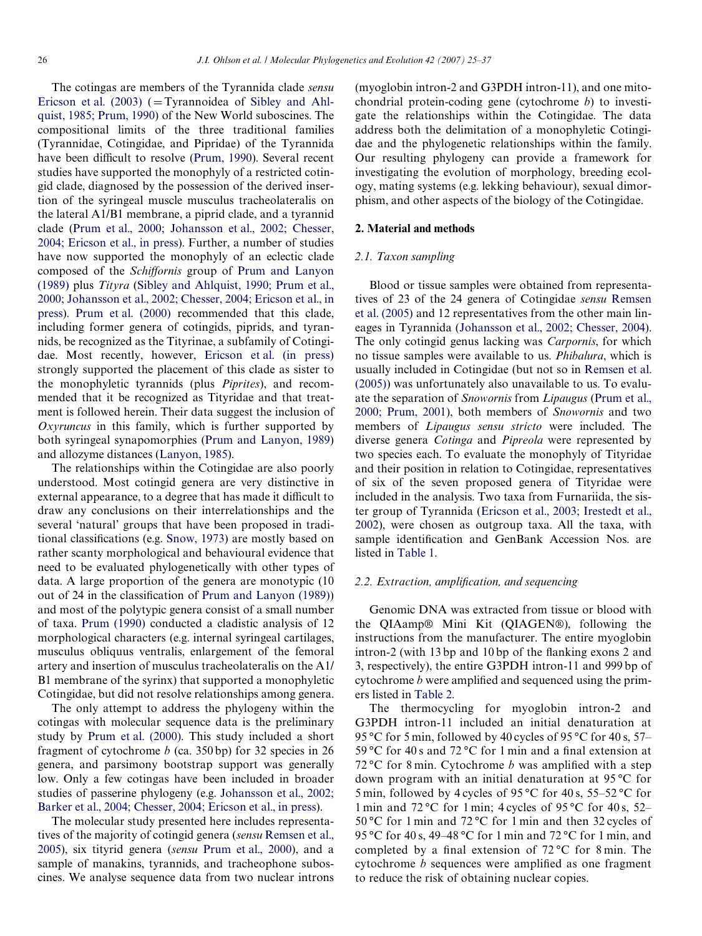The cotingas are members of the Tyrannida clade *sensu* [Ericson et al. \(2003\)](#page-11-0) ( $=T$ vrannoidea of [Sibley and Ahl](#page-12-2)[quist, 1985; Prum, 1990](#page-12-2)) of the New World suboscines. The compositional limits of the three traditional families (Tyrannidae, Cotingidae, and Pipridae) of the Tyrannida have been difficult to resolve [\(Prum, 1990\)](#page-11-1). Several recent studies have supported the monophyly of a restricted cotingid clade, diagnosed by the possession of the derived insertion of the syringeal muscle musculus tracheolateralis on the lateral A1/B1 membrane, a piprid clade, and a tyrannid clade [\(Prum et al., 2000; Johansson et al., 2002; Chesser,](#page-11-2) [2004; Ericson et al., in press](#page-11-2)). Further, a number of studies have now supported the monophyly of an eclectic clade composed of the *Schiffornis* group of [Prum and Lanyon](#page-11-3) [\(1989\)](#page-11-3) plus *Tityra* ([Sibley and Ahlquist, 1990; Prum et al.,](#page-12-3) [2000; Johansson et al., 2002; Chesser, 2004; Ericson et al., in](#page-12-3) [press](#page-12-3)). [Prum et al. \(2000\)](#page-11-2) recommended that this clade, including former genera of cotingids, piprids, and tyrannids, be recognized as the Tityrinae, a subfamily of Cotingidae. Most recently, however, [Ericson et al. \(in press\)](#page-11-4) strongly supported the placement of this clade as sister to the monophyletic tyrannids (plus *Piprites*), and recommended that it be recognized as Tityridae and that treatment is followed herein. Their data suggest the inclusion of *Oxyruncus* in this family, which is further supported by both syringeal synapomorphies [\(Prum and Lanyon, 1989\)](#page-11-3) and allozyme distances [\(Lanyon, 1985](#page-11-5)).

The relationships within the Cotingidae are also poorly understood. Most cotingid genera are very distinctive in external appearance, to a degree that has made it difficult to draw any conclusions on their interrelationships and the several 'natural' groups that have been proposed in tradi-tional classifications (e.g. [Snow, 1973](#page-12-1)) are mostly based on rather scanty morphological and behavioural evidence that need to be evaluated phylogenetically with other types of data. A large proportion of the genera are monotypic (10 out of 24 in the classification of [Prum and Lanyon \(1989\)\)](#page-11-3) and most of the polytypic genera consist of a small number of taxa. [Prum \(1990\)](#page-11-1) conducted a cladistic analysis of 12 morphological characters (e.g. internal syringeal cartilages, musculus obliquus ventralis, enlargement of the femoral artery and insertion of musculus tracheolateralis on the A1/ B1 membrane of the syrinx) that supported a monophyletic Cotingidae, but did not resolve relationships among genera.

The only attempt to address the phylogeny within the cotingas with molecular sequence data is the preliminary study by [Prum et al. \(2000\).](#page-11-2) This study included a short fragment of cytochrome *b* (ca. 350 bp) for 32 species in 26 genera, and parsimony bootstrap support was generally low. Only a few cotingas have been included in broader studies of passerine phylogeny (e.g. [Johansson et al., 2002;](#page-11-6) [Barker et al., 2004; Chesser, 2004; Ericson et al., in press](#page-11-6)).

The molecular study presented here includes representatives of the majority of cotingid genera (*sensu* [Remsen et al.,](#page-11-7) [2005\)](#page-11-7), six tityrid genera (*sensu* [Prum et al., 2000](#page-11-2)), and a sample of manakins, tyrannids, and tracheophone suboscines. We analyse sequence data from two nuclear introns (myoglobin intron-2 and G3PDH intron-11), and one mitochondrial protein-coding gene (cytochrome *b*) to investigate the relationships within the Cotingidae. The data address both the delimitation of a monophyletic Cotingidae and the phylogenetic relationships within the family. Our resulting phylogeny can provide a framework for investigating the evolution of morphology, breeding ecology, mating systems (e.g. lekking behaviour), sexual dimorphism, and other aspects of the biology of the Cotingidae.

# **2. Material and methods**

# *2.1. Taxon sampling*

Blood or tissue samples were obtained from representatives of 23 of the 24 genera of Cotingidae *sensu* [Remsen](#page-11-7) [et al. \(2005\)](#page-11-7) and 12 representatives from the other main lineages in Tyrannida ([Johansson et al., 2002; Chesser, 2004](#page-11-6)). The only cotingid genus lacking was *Carpornis*, for which no tissue samples were available to us. *Phibalura*, which is usually included in Cotingidae (but not so in [Remsen et al.](#page-11-7) [\(2005\)\)](#page-11-7) was unfortunately also unavailable to us. To evaluate the separation of *Snowornis* from *Lipaugus* [\(Prum et al.,](#page-11-2) [2000; Prum, 2001\)](#page-11-2), both members of *Snowornis* and two members of *Lipaugus sensu stricto* were included. The diverse genera *Cotinga* and *Pipreola* were represented by two species each. To evaluate the monophyly of Tityridae and their position in relation to Cotingidae, representatives of six of the seven proposed genera of Tityridae were included in the analysis. Two taxa from Furnariida, the sister group of Tyrannida ([Ericson et al., 2003; Irestedt et al.,](#page-11-0) [2002](#page-11-0)), were chosen as outgroup taxa. All the taxa, with sample identification and GenBank Accession Nos. are listed in [Table 1.](#page-2-0)

#### *2.2. Extraction, amplification, and sequencing*

Genomic DNA was extracted from tissue or blood with the QIAamp® Mini Kit (QIAGEN®), following the instructions from the manufacturer. The entire myoglobin  $\frac{1}{13}$  bp and 10 bp of the flanking exons 2 and 3, respectively), the entire G3PDH intron-11 and 999 bp of cytochrome *b* were amplified and sequenced using the primers listed in [Table 2](#page-3-0).

The thermocycling for myoglobin intron-2 and G3PDH intron-11 included an initial denaturation at 95 °C for 5 min, followed by 40 cycles of 95 °C for 40 s, 57– 59 °C for 40 s and 72 °C for 1 min and a final extension at 72 °C for 8 min. Cytochrome  $b$  was amplified with a step down program with an initial denaturation at 95 °C for 5 min, followed by 4 cycles of 95 °C for 40 s, 55–52 °C for 1 min and 72 °C for 1 min; 4 cycles of 95 °C for 40 s, 52– 50 °C for 1 min and 72 °C for 1 min and then 32 cycles of 95 °C for 40 s, 49–48 °C for 1 min and 72 °C for 1 min, and completed by a final extension of  $72^{\circ}$ C for 8 min. The cytochrome  $b$  sequences were amplified as one fragment to reduce the risk of obtaining nuclear copies.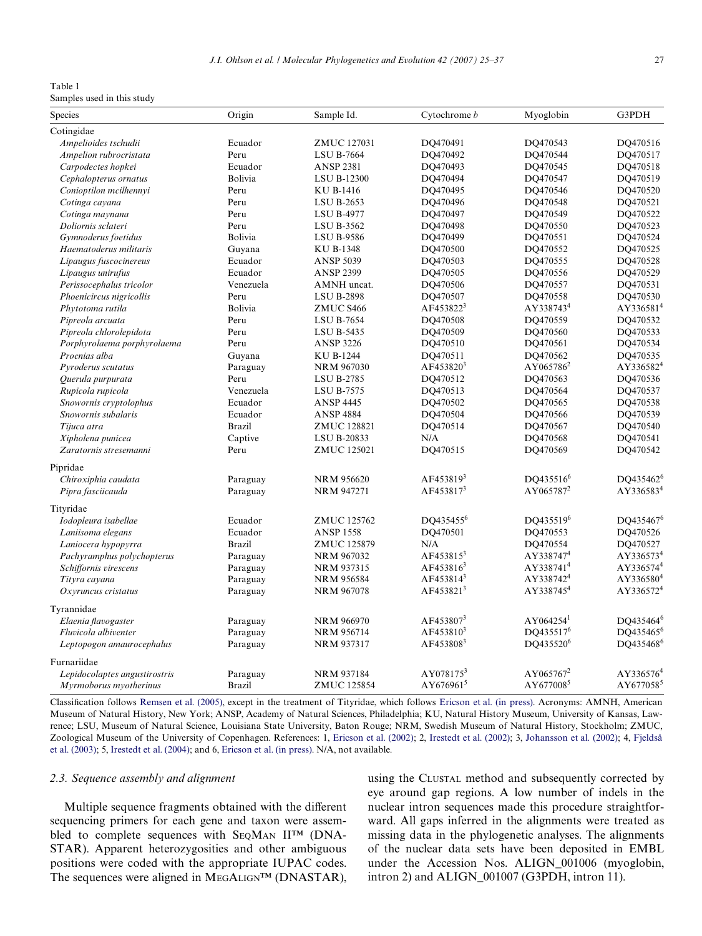<span id="page-2-0"></span>Table 1

Samples used in this study

| Species                       | Origin        | Sample Id.         | Cytochrome b          | Myoglobin             | G3PDH                 |
|-------------------------------|---------------|--------------------|-----------------------|-----------------------|-----------------------|
| Cotingidae                    |               |                    |                       |                       |                       |
| Ampelioides tschudii          | Ecuador       | <b>ZMUC 127031</b> | DQ470491              | DQ470543              | DQ470516              |
| Ampelion rubrocristata        | Peru          | <b>LSU B-7664</b>  | DQ470492              | DQ470544              | DQ470517              |
| Carpodectes hopkei            | Ecuador       | <b>ANSP 2381</b>   | DQ470493              | DQ470545              | DQ470518              |
| Cephalopterus ornatus         | Bolivia       | <b>LSU B-12300</b> | DO470494              | DO470547              | DO470519              |
| Conioptilon mcilhennyi        | Peru          | KU B-1416          | DQ470495              | DQ470546              | DQ470520              |
| Cotinga cayana                | Peru          | <b>LSU B-2653</b>  | DQ470496              | DQ470548              | DQ470521              |
| Cotinga maynana               | Peru          | <b>LSU B-4977</b>  | DQ470497              | DO470549              | DO470522              |
| Doliornis sclateri            | Peru          | LSU B-3562         | DQ470498              | DQ470550              | DQ470523              |
| Gymnoderus foetidus           | Bolivia       | <b>LSU B-9586</b>  | DQ470499              | DQ470551              | DQ470524              |
| Haematoderus militaris        | Guyana        | KU B-1348          | DQ470500              | DQ470552              | DQ470525              |
| Lipaugus fuscocinereus        | Ecuador       | <b>ANSP 5039</b>   | DQ470503              | DQ470555              | DQ470528              |
| Lipaugus unirufus             | Ecuador       | <b>ANSP 2399</b>   | DQ470505              | DQ470556              | DQ470529              |
| Perissocephalus tricolor      | Venezuela     | AMNH uncat.        | DO470506              | DO470557              | DO470531              |
| Phoenicircus nigricollis      | Peru          | <b>LSU B-2898</b>  | DQ470507              | DQ470558              | DQ470530              |
| Phytotoma rutila              | Bolivia       | ZMUC S466          | AF453822 <sup>3</sup> | AY338743 <sup>4</sup> | AY336581 <sup>4</sup> |
| Pipreola arcuata              | Peru          | <b>LSU B-7654</b>  | DQ470508              | DQ470559              | DQ470532              |
| Pipreola chlorolepidota       | Peru          | <b>LSU B-5435</b>  | DQ470509              | DQ470560              | DQ470533              |
| Porphyrolaema porphyrolaema   | Peru          | <b>ANSP 3226</b>   | DQ470510              | DQ470561              | DQ470534              |
| Procnias alba                 | Guyana        | <b>KU B-1244</b>   | DQ470511              | DQ470562              | DQ470535              |
| Pyroderus scutatus            | Paraguay      | <b>NRM 967030</b>  | AF453820 <sup>3</sup> | AY065786 <sup>2</sup> | AY336582 <sup>4</sup> |
| Querula purpurata             | Peru          | <b>LSU B-2785</b>  | DQ470512              | DQ470563              | DQ470536              |
| Rupicola rupicola             | Venezuela     | <b>LSU B-7575</b>  | DO470513              | DO470564              | DO470537              |
| Snowornis cryptolophus        | Ecuador       | <b>ANSP 4445</b>   | DQ470502              | DQ470565              | DQ470538              |
| Snowornis subalaris           | Ecuador       | <b>ANSP 4884</b>   | DQ470504              | DQ470566              | DQ470539              |
| Tijuca atra                   | <b>Brazil</b> | <b>ZMUC 128821</b> | DQ470514              | DQ470567              | DQ470540              |
| Xipholena punicea             | Captive       | LSU B-20833        | N/A                   | DQ470568              | DQ470541              |
| Zaratornis stresemanni        | Peru          | <b>ZMUC 125021</b> | DQ470515              | DQ470569              | DQ470542              |
| Pipridae                      |               |                    |                       |                       |                       |
| Chiroxiphia caudata           | Paraguay      | <b>NRM 956620</b>  | AF453819 <sup>3</sup> | DQ435516 <sup>6</sup> | DQ435462 <sup>6</sup> |
| Pipra fasciicauda             | Paraguay      | <b>NRM 947271</b>  | $AF453817^3$          | AY065787 <sup>2</sup> | AY336583 <sup>4</sup> |
|                               |               |                    |                       |                       |                       |
| Tityridae                     |               |                    |                       |                       |                       |
| Iodopleura isabellae          | Ecuador       | ZMUC 125762        | DO435455 <sup>6</sup> | DO435519 <sup>6</sup> | $DO435467^6$          |
| Laniisoma elegans             | Ecuador       | <b>ANSP 1558</b>   | DQ470501              | DQ470553              | DQ470526              |
| Laniocera hypopyrra           | <b>Brazil</b> | ZMUC 125879        | N/A                   | DQ470554              | DQ470527              |
| Pachyramphus polychopterus    | Paraguay      | NRM 967032         | AF453815 <sup>3</sup> | AY338747 <sup>4</sup> | AY336573 <sup>4</sup> |
| Schiffornis virescens         | Paraguay      | NRM 937315         | AF453816 <sup>3</sup> | AY338741 <sup>4</sup> | AY336574 <sup>4</sup> |
| Tityra cayana                 | Paraguay      | <b>NRM 956584</b>  | AF453814 <sup>3</sup> | AY338742 <sup>4</sup> | AY336580 <sup>4</sup> |
| Oxyruncus cristatus           | Paraguay      | <b>NRM 967078</b>  | AF453821 <sup>3</sup> | AY338745 <sup>4</sup> | AY336572 <sup>4</sup> |
| Tyrannidae                    |               |                    |                       |                       |                       |
| Elaenia flavogaster           | Paraguay      | NRM 966970         | AF453807 <sup>3</sup> | $AY064254^1$          | DQ435464 <sup>6</sup> |
| Fluvicola albiventer          | Paraguay      | <b>NRM 956714</b>  | AF453810 <sup>3</sup> | DQ435517 <sup>6</sup> | DQ435465 <sup>6</sup> |
| Leptopogon amaurocephalus     | Paraguay      | <b>NRM 937317</b>  | AF4538083             | DQ435520 <sup>6</sup> | DQ435468 <sup>6</sup> |
| Furnariidae                   |               |                    |                       |                       |                       |
| Lepidocolaptes angustirostris | Paraguay      | <b>NRM 937184</b>  | AY0781753             | AY065767 <sup>2</sup> | AY336576 <sup>4</sup> |
| Myrmoborus myotherinus        | <b>Brazil</b> | <b>ZMUC 125854</b> | $AY676961^5$          | AY677008 <sup>5</sup> | AY677058 <sup>5</sup> |

Classification follows [Remsen et al. \(2005\),](#page-11-7) except in the treatment of Tityridae, which follows [Ericson et al. \(in press\)](#page-11-4). Acronyms: AMNH, American Museum of Natural History, New York; ANSP, Academy of Natural Sciences, Philadelphia; KU, Natural History Museum, University of Kansas, Lawrence; LSU, Museum of Natural Science, Louisiana State University, Baton Rouge; NRM, Swedish Museum of Natural History, Stockholm; ZMUC, Zoological Museum of the University of Copenhagen. References: 1, [Ericson et al. \(2002\);](#page-11-8) 2, [Irestedt et al. \(2002\);](#page-11-9) 3, [Johansson et al. \(2002\)](#page-11-6); 4, [Fjeldså](#page-11-10) [et al. \(2003\);](#page-11-10) 5, [Irestedt et al. \(2004\)](#page-11-11); and 6, [Ericson et al. \(in press\).](#page-11-4) N/A, not available.

## *2.3. Sequence assembly and alignment*

Multiple sequence fragments obtained with the different sequencing primers for each gene and taxon were assembled to complete sequences with SEQMAN II<sup>™</sup> (DNA-STAR). Apparent heterozygosities and other ambiguous positions were coded with the appropriate IUPAC codes. The sequences were aligned in MEGALIGN™ (DNASTAR), using the CLUSTAL method and subsequently corrected by eye around gap regions. A low number of indels in the nuclear intron sequences made this procedure straightforward. All gaps inferred in the alignments were treated as missing data in the phylogenetic analyses. The alignments of the nuclear data sets have been deposited in EMBL under the Accession Nos. ALIGN\_001006 (myoglobin, intron 2) and ALIGN\_001007 (G3PDH, intron 11).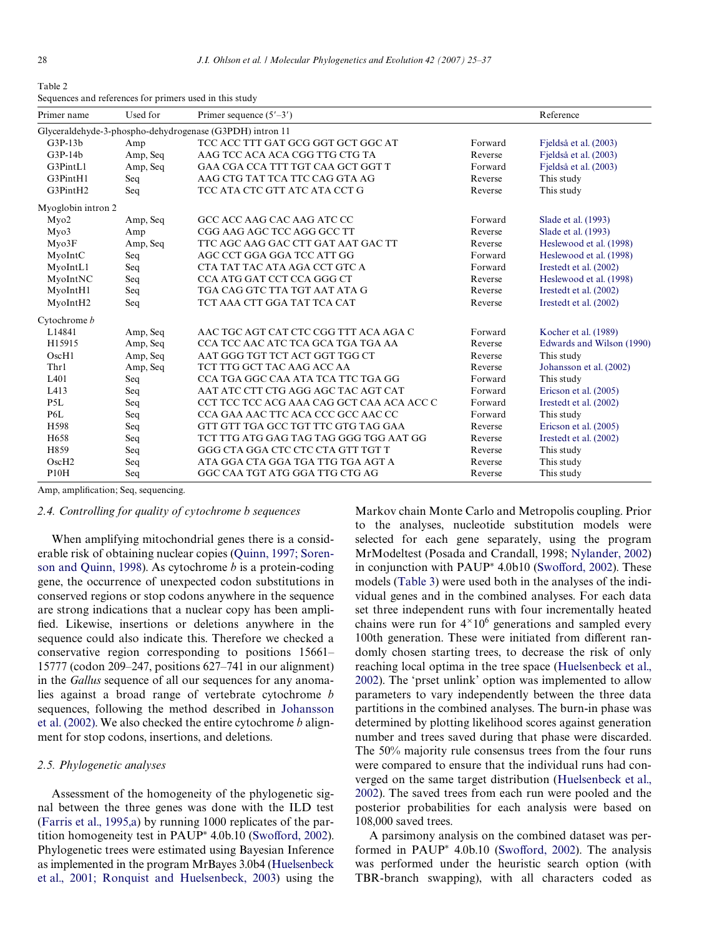<span id="page-3-0"></span>Table 2 Sequences and references for primers used in this study

| Primer name                                              | Used for | Primer sequence $(5'–3')$                 |         | Reference                 |  |  |  |  |
|----------------------------------------------------------|----------|-------------------------------------------|---------|---------------------------|--|--|--|--|
| Glyceraldehyde-3-phospho-dehydrogenase (G3PDH) intron 11 |          |                                           |         |                           |  |  |  |  |
| $G3P-13b$                                                | Amp      | TCC ACC TTT GAT GCG GGT GCT GGC AT        | Forward | Fjeldså et al. (2003)     |  |  |  |  |
| $G3P-14b$                                                | Amp, Seq | AAG TCC ACA ACA CGG TTG CTG TA            | Reverse | Fjeldså et al. (2003)     |  |  |  |  |
| G3PintL1                                                 | Amp, Seq | GAA CGA CCA TTT TGT CAA GCT GGT T         | Forward | Fjeldså et al. (2003)     |  |  |  |  |
| G3PintH1                                                 | Seq      | AAG CTG TAT TCA TTC CAG GTA AG            | Reverse | This study                |  |  |  |  |
| G3PintH2                                                 | Seq      | TCC ATA CTC GTT ATC ATA CCT G             | Reverse | This study                |  |  |  |  |
| Myoglobin intron 2                                       |          |                                           |         |                           |  |  |  |  |
| Myo2                                                     | Amp, Seq | GCC ACC AAG CAC AAG ATC CC                | Forward | Slade et al. (1993)       |  |  |  |  |
| Myo3                                                     | Amp      | CGG AAG AGC TCC AGG GCC TT                | Reverse | Slade et al. (1993)       |  |  |  |  |
| Myo3F                                                    | Amp, Seq | TTC AGC AAG GAC CTT GAT AAT GAC TT        | Reverse | Heslewood et al. (1998)   |  |  |  |  |
| MyoIntC                                                  | Seq      | AGC CCT GGA GGA TCC ATT GG                | Forward | Heslewood et al. (1998)   |  |  |  |  |
| MyoIntL1                                                 | Seq      | CTA TAT TAC ATA AGA CCT GTC A             | Forward | Irestedt et al. (2002)    |  |  |  |  |
| MyoIntNC                                                 | Seq      | CCA ATG GAT CCT CCA GGG CT                | Reverse | Heslewood et al. (1998)   |  |  |  |  |
| MyoIntH1                                                 | Seq      | TGA CAG GTC TTA TGT AAT ATA G             | Reverse | Irestedt et al. (2002)    |  |  |  |  |
| MyoIntH <sub>2</sub>                                     | Seq      | TCT AAA CTT GGA TAT TCA CAT               | Reverse | Irestedt et al. (2002)    |  |  |  |  |
| Cytochrome b                                             |          |                                           |         |                           |  |  |  |  |
| L14841                                                   | Amp, Seq | AAC TGC AGT CAT CTC CGG TTT ACA AGA C     | Forward | Kocher et al. (1989)      |  |  |  |  |
| H15915                                                   | Amp, Seq | CCA TCC AAC ATC TCA GCA TGA TGA AA        | Reverse | Edwards and Wilson (1990) |  |  |  |  |
| OscH1                                                    | Amp, Seq | AAT GGG TGT TCT ACT GGT TGG CT            | Reverse | This study                |  |  |  |  |
| Thr1                                                     | Amp, Seq | TCT TTG GCT TAC AAG ACC AA                | Reverse | Johansson et al. (2002)   |  |  |  |  |
| L <sub>401</sub>                                         | Seq      | CCA TGA GGC CAA ATA TCA TTC TGA GG        | Forward | This study                |  |  |  |  |
| L413                                                     | Seq      | AAT ATC CTT CTG AGG AGC TAC AGT CAT       | Forward | Ericson et al. (2005)     |  |  |  |  |
| P <sub>5</sub> L                                         | Seq      | CCT TCC TCC ACG AAA CAG GCT CAA ACA ACC C | Forward | Irestedt et al. (2002)    |  |  |  |  |
| P6L                                                      | Seq      | CCA GAA AAC TTC ACA CCC GCC AAC CC        | Forward | This study                |  |  |  |  |
| H598                                                     | Seq      | GTT GTT TGA GCC TGT TTC GTG TAG GAA       | Reverse | Ericson et al. (2005)     |  |  |  |  |
| H <sub>658</sub>                                         | Seq      | TCT TTG ATG GAG TAG TAG GGG TGG AAT GG    | Reverse | Irestedt et al. (2002)    |  |  |  |  |
| H859                                                     | Seq      | GGG CTA GGA CTC CTC CTA GTT TGT T         | Reverse | This study                |  |  |  |  |
| OscH2                                                    | Seq      | ATA GGA CTA GGA TGA TTG TGA AGT A         | Reverse | This study                |  |  |  |  |
| P10H                                                     | Seq      | GGC CAA TGT ATG GGA TTG CTG AG            | Reverse | This study                |  |  |  |  |

Amp, amplification; Seq, sequencing.

## *2.4. Controlling for quality of cytochrome b sequences*

When amplifying mitochondrial genes there is a considerable risk of obtaining nuclear copies ([Quinn, 1997; Soren](#page-11-16)[son and Quinn, 1998](#page-11-16)). As cytochrome *b* is a protein-coding gene, the occurrence of unexpected codon substitutions in conserved regions or stop codons anywhere in the sequence are strong indications that a nuclear copy has been amplified. Likewise, insertions or deletions anywhere in the sequence could also indicate this. Therefore we checked a conservative region corresponding to positions 15661– 15777 (codon 209–247, positions 627–741 in our alignment) in the *Gallus* sequence of all our sequences for any anomalies against a broad range of vertebrate cytochrome *b* sequences, following the method described in [Johansson](#page-11-6) [et al. \(2002\).](#page-11-6) We also checked the entire cytochrome *b* alignment for stop codons, insertions, and deletions.

# *2.5. Phylogenetic analyses*

Assessment of the homogeneity of the phylogenetic signal between the three genes was done with the ILD test [\(Farris et al., 1995,a](#page-11-17)) by running 1000 replicates of the partition homogeneity test in PAUP<sup>\*</sup> 4.0b.10 (Swofford, 2002). Phylogenetic trees were estimated using Bayesian Inference as implemented in the program MrBayes 3.0b4 [\(Huelsenbeck](#page-11-18) [et al., 2001; Ronquist and Huelsenbeck, 2003](#page-11-18)) using the Markov chain Monte Carlo and Metropolis coupling. Prior to the analyses, nucleotide substitution models were selected for each gene separately, using the program MrModeltest (Posada and Crandall, 1998; [Nylander, 2002](#page-11-19)) in conjunction with PAUP<sup>\*</sup> 4.0b10 (Swofford, 2002). These models [\(Table 3](#page-4-0)) were used both in the analyses of the individual genes and in the combined analyses. For each data set three independent runs with four incrementally heated chains were run for  $4^{\times}10^6$  generations and sampled every 100th generation. These were initiated from different randomly chosen starting trees, to decrease the risk of only reaching local optima in the tree space [\(Huelsenbeck et al.,](#page-11-20) [2002](#page-11-20)). The 'prset unlink' option was implemented to allow parameters to vary independently between the three data partitions in the combined analyses. The burn-in phase was determined by plotting likelihood scores against generation number and trees saved during that phase were discarded. The 50% majority rule consensus trees from the four runs were compared to ensure that the individual runs had converged on the same target distribution ([Huelsenbeck et al.,](#page-11-20) [2002](#page-11-20)). The saved trees from each run were pooled and the posterior probabilities for each analysis were based on 108,000 saved trees.

A parsimony analysis on the combined dataset was performed in PAUP<sup>\*</sup> 4.0b.10 (Swofford, 2002). The analysis was performed under the heuristic search option (with TBR-branch swapping), with all characters coded as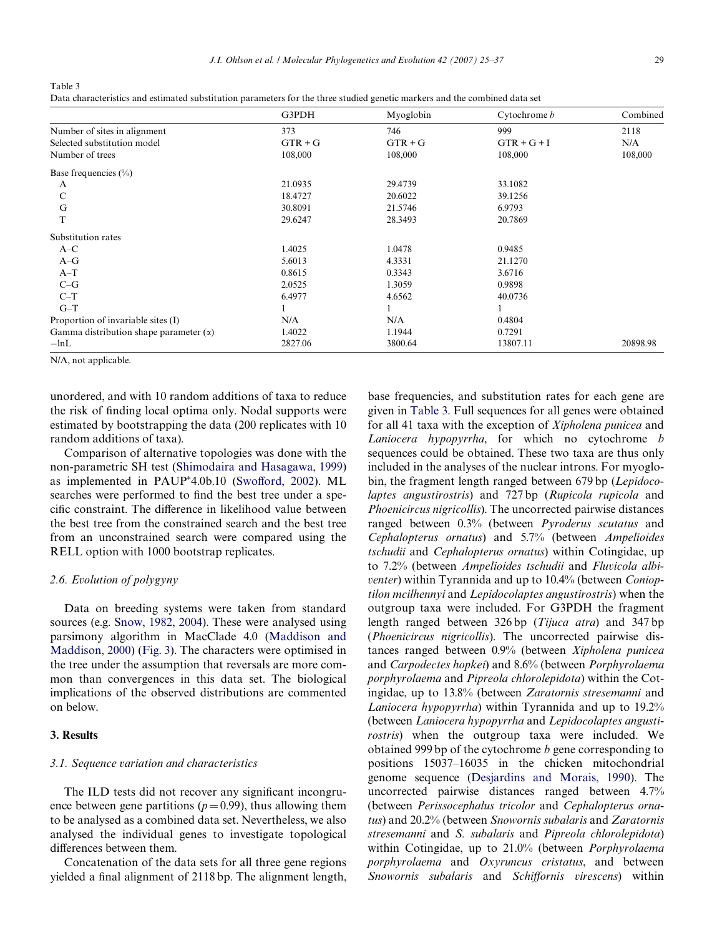<span id="page-4-0"></span>Table 3 Data characteristics and estimated substitution parameters for the three studied genetic markers and the combined data set

|                                               | G3PDH     | Myoglobin | Cytochrome b  | Combined |
|-----------------------------------------------|-----------|-----------|---------------|----------|
| Number of sites in alignment                  | 373       | 746       | 999           | 2118     |
| Selected substitution model                   | $GTR + G$ | $GTR + G$ | $GTR + G + I$ | N/A      |
| Number of trees                               | 108,000   | 108,000   | 108,000       | 108,000  |
| Base frequencies $(\% )$                      |           |           |               |          |
| A                                             | 21.0935   | 29.4739   | 33.1082       |          |
| $\mathcal{C}$                                 | 18.4727   | 20.6022   | 39.1256       |          |
| G                                             | 30.8091   | 21.5746   | 6.9793        |          |
| T                                             | 29.6247   | 28.3493   | 20.7869       |          |
| Substitution rates                            |           |           |               |          |
| $A-C$                                         | 1.4025    | 1.0478    | 0.9485        |          |
| $A-G$                                         | 5.6013    | 4.3331    | 21.1270       |          |
| $A-T$                                         | 0.8615    | 0.3343    | 3.6716        |          |
| $C-G$                                         | 2.0525    | 1.3059    | 0.9898        |          |
| $C-T$                                         | 6.4977    | 4.6562    | 40.0736       |          |
| $G-T$                                         |           |           |               |          |
| Proportion of invariable sites (I)            | N/A       | N/A       | 0.4804        |          |
| Gamma distribution shape parameter $(\alpha)$ | 1.4022    | 1.1944    | 0.7291        |          |
| $-\ln L$                                      | 2827.06   | 3800.64   | 13807.11      | 20898.98 |

N/A, not applicable.

unordered, and with 10 random additions of taxa to reduce the risk of finding local optima only. Nodal supports were estimated by bootstrapping the data (200 replicates with 10 random additions of taxa).

Comparison of alternative topologies was done with the non-parametric SH test ([Shimodaira and Hasagawa, 1999\)](#page-12-5) as implemented in PAUP<sup>\*</sup>4.0b.10 (Swofford, 2002). ML searches were performed to find the best tree under a specific constraint. The difference in likelihood value between the best tree from the constrained search and the best tree from an unconstrained search were compared using the RELL option with 1000 bootstrap replicates.

# *2.6. Evolution of polygyny*

Data on breeding systems were taken from standard sources (e.g. [Snow, 1982, 2004\)](#page-12-0). These were analysed using parsimony algorithm in MacClade 4.0 [\(Maddison and](#page-11-21) [Maddison, 2000](#page-11-21)) ([Fig. 3](#page-7-0)). The characters were optimised in the tree under the assumption that reversals are more common than convergences in this data set. The biological implications of the observed distributions are commented on below.

# **3. Results**

# *3.1. Sequence variation and characteristics*

The ILD tests did not recover any significant incongruence between gene partitions ( $p=0.99$ ), thus allowing them to be analysed as a combined data set. Nevertheless, we also analysed the individual genes to investigate topological differences between them.

Concatenation of the data sets for all three gene regions yielded a final alignment of 2118 bp. The alignment length, base frequencies, and substitution rates for each gene are given in [Table 3.](#page-4-0) Full sequences for all genes were obtained for all 41 taxa with the exception of *Xipholena punicea* and *Laniocera hypopyrrha*, for which no cytochrome *b* sequences could be obtained. These two taxa are thus only included in the analyses of the nuclear introns. For myoglobin, the fragment length ranged between 679 bp (*Lepidocolaptes angustirostris*) and 727 bp (*Rupicola rupicola* and *Phoenicircus nigricollis*). The uncorrected pairwise distances ranged between 0.3% (between *Pyroderus scutatus* and *Cephalopterus ornatus*) and 5.7% (between *Ampelioides tschudii* and *Cephalopterus ornatus*) within Cotingidae, up to 7.2% (between *Ampelioides tschudii* and *Fluvicola albiventer*) within Tyrannida and up to 10.4% (between *Conioptilon mcilhennyi* and *Lepidocolaptes angustirostris*) when the outgroup taxa were included. For G3PDH the fragment length ranged between 326 bp (*Tijuca atra*) and 347 bp (*Phoenicircus nigricollis*). The uncorrected pairwise distances ranged between 0.9% (between *Xipholena punicea* and *Carpodectes hopkei*) and 8.6% (between *Porphyrolaema porphyrolaema* and *Pipreola chlorolepidota*) within the Cotingidae, up to 13.8% (between *Zaratornis stresemanni* and *Laniocera hypopyrrha*) within Tyrannida and up to 19.2% (between *Laniocera hypopyrrha* and *Lepidocolaptes angustirostris*) when the outgroup taxa were included. We obtained 999 bp of the cytochrome *b* gene corresponding to positions 15037–16035 in the chicken mitochondrial genome sequence ([Desjardins and Morais, 1990\)](#page-11-22). The uncorrected pairwise distances ranged between 4.7% (between *Perissocephalus tricolor* and *Cephalopterus ornatus*) and 20.2% (between *Snowornis subalaris* and *Zaratornis stresemanni* and *S. subalaris* and *Pipreola chlorolepidota*) within Cotingidae, up to 21.0% (between *Porphyrolaema porphyrolaema* and *Oxyruncus cristatus*, and between *Snowornis subalaris* and *Schiffornis virescens*) within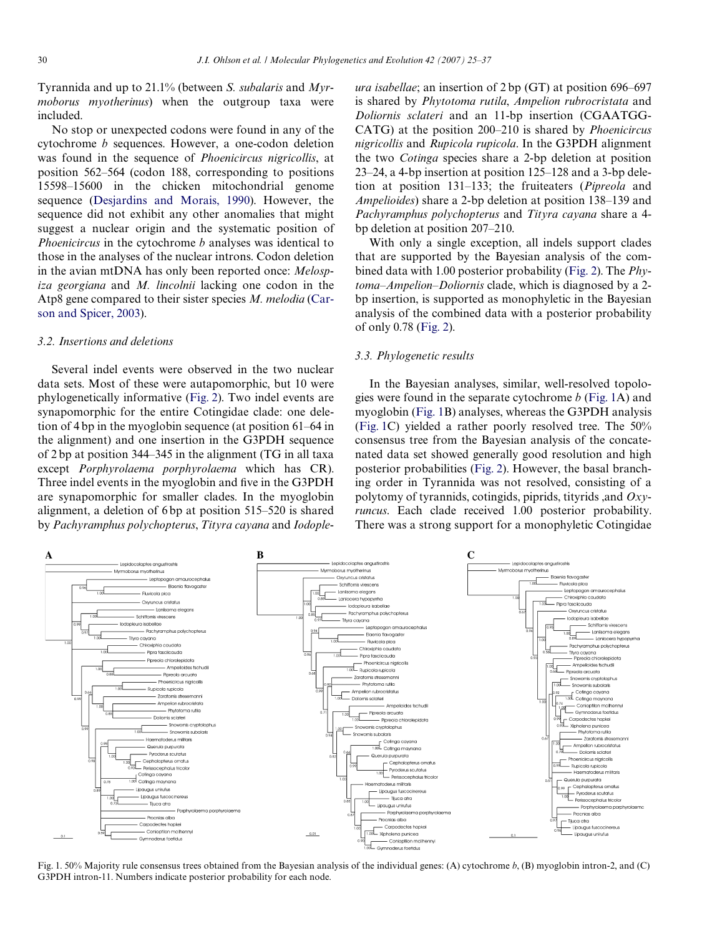Tyrannida and up to 21.1% (between *S. subalaris* and *Myrmoborus myotherinus*) when the outgroup taxa were included.

No stop or unexpected codons were found in any of the cytochrome *b* sequences. However, a one-codon deletion was found in the sequence of *Phoenicircus nigricollis*, at position 562–564 (codon 188, corresponding to positions 15598–15600 in the chicken mitochondrial genome sequence [\(Desjardins and Morais, 1990\)](#page-11-22). However, the sequence did not exhibit any other anomalies that might suggest a nuclear origin and the systematic position of *Phoenicircus* in the cytochrome *b* analyses was identical to those in the analyses of the nuclear introns. Codon deletion in the avian mtDNA has only been reported once: *Melospiza georgiana* and *M. lincolnii* lacking one codon in the Atp8 gene compared to their sister species *M. melodia* ([Car](#page-11-23)[son and Spicer, 2003\)](#page-11-23).

#### *3.2. Insertions and deletions*

Several indel events were observed in the two nuclear data sets. Most of these were autapomorphic, but 10 were phylogenetically informative ([Fig. 2\)](#page-6-0). Two indel events are synapomorphic for the entire Cotingidae clade: one deletion of 4 bp in the myoglobin sequence (at position 61–64 in the alignment) and one insertion in the G3PDH sequence of 2 bp at position 344–345 in the alignment (TG in all taxa except *Porphyrolaema porphyrolaema* which has CR). Three indel events in the myoglobin and five in the G3PDH are synapomorphic for smaller clades. In the myoglobin alignment, a deletion of 6 bp at position 515–520 is shared by *Pachyramphus polychopterus*, *Tityra cayana* and *Iodople-* *ura isabellae*; an insertion of 2 bp (GT) at position 696–697 is shared by *Phytotoma rutila*, *Ampelion rubrocristata* and *Doliornis sclateri* and an 11-bp insertion (CGAATGG-CATG) at the position 200–210 is shared by *Phoenicircus nigricollis* and *Rupicola rupicola*. In the G3PDH alignment the two *Cotinga* species share a 2-bp deletion at position 23–24, a 4-bp insertion at position 125–128 and a 3-bp deletion at position 131–133; the fruiteaters (*Pipreola* and *Ampelioides*) share a 2-bp deletion at position 138–139 and *Pachyramphus polychopterus* and *Tityra cayana* share a 4 bp deletion at position 207–210.

With only a single exception, all indels support clades that are supported by the Bayesian analysis of the combined data with 1.00 posterior probability [\(Fig. 2](#page-6-0)). The *Phytoma–Ampelion–Doliornis* clade, which is diagnosed by a 2 bp insertion, is supported as monophyletic in the Bayesian analysis of the combined data with a posterior probability of only 0.78 ([Fig. 2\)](#page-6-0).

## *3.3. Phylogenetic results*

In the Bayesian analyses, similar, well-resolved topologies were found in the separate cytochrome *b* [\(Fig. 1A](#page-5-0)) and myoglobin ([Fig. 1B](#page-5-0)) analyses, whereas the G3PDH analysis ([Fig. 1C](#page-5-0)) yielded a rather poorly resolved tree. The 50% consensus tree from the Bayesian analysis of the concatenated data set showed generally good resolution and high posterior probabilities [\(Fig. 2](#page-6-0)). However, the basal branching order in Tyrannida was not resolved, consisting of a polytomy of tyrannids, cotingids, piprids, tityrids ,and *Oxyruncus*. Each clade received 1.00 posterior probability. There was a strong support for a monophyletic Cotingidae



<span id="page-5-0"></span>Fig. 1. 50% Majority rule consensus trees obtained from the Bayesian analysis of the individual genes: (A) cytochrome *b*, (B) myoglobin intron-2, and (C) G3PDH intron-11. Numbers indicate posterior probability for each node.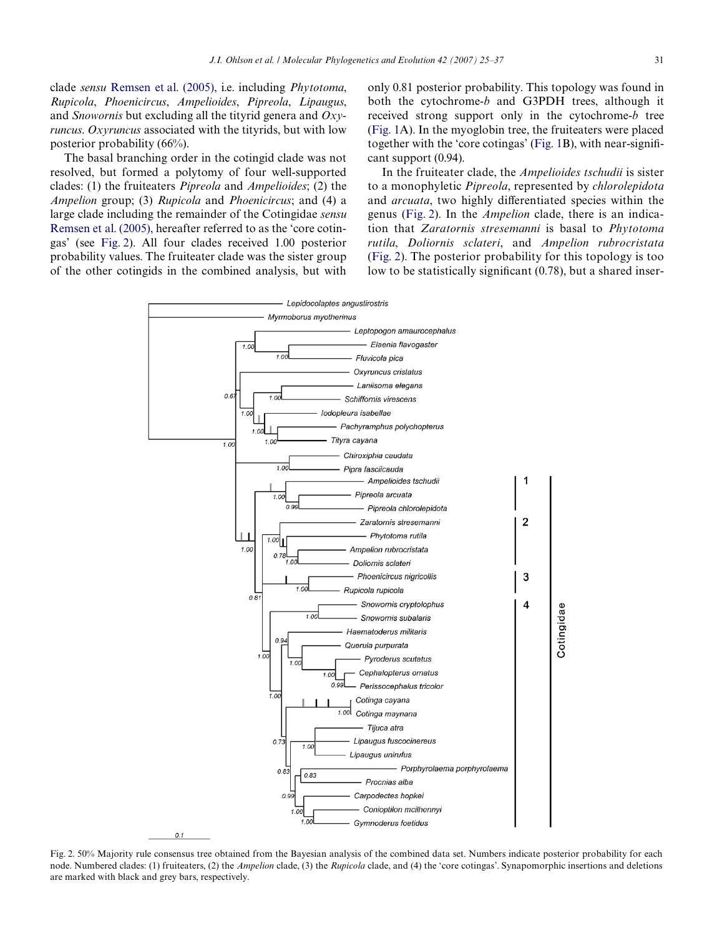clade *sensu* [Remsen et al. \(2005\),](#page-11-7) i.e. including *Phytotoma*, *Rupicola*, *Phoenicircus*, *Ampelioides*, *Pipreola*, *Lipaugus*, and *Snowornis* but excluding all the tityrid genera and *Oxyruncus*. *Oxyruncus* associated with the tityrids, but with low posterior probability (66%).

The basal branching order in the cotingid clade was not resolved, but formed a polytomy of four well-supported clades: (1) the fruiteaters *Pipreola* and *Ampelioides*; (2) the *Ampelion* group; (3) *Rupicola* and *Phoenicircus*; and (4) a large clade including the remainder of the Cotingidae *sensu* [Remsen et al. \(2005\),](#page-11-7) hereafter referred to as the 'core cotingas' (see [Fig. 2\)](#page-6-0). All four clades received 1.00 posterior probability values. The fruiteater clade was the sister group of the other cotingids in the combined analysis, but with

only 0.81 posterior probability. This topology was found in both the cytochrome-*b* and G3PDH trees, although it received strong support only in the cytochrome-*b* tree [\(Fig. 1](#page-5-0)A). In the myoglobin tree, the fruiteaters were placed together with the 'core cotingas' (Fig.  $1B$ ), with near-significant support (0.94).

In the fruiteater clade, the *Ampelioides tschudii* is sister to a monophyletic *Pipreola*, represented by *chlorolepidota* and *arcuata*, two highly differentiated species within the genus [\(Fig. 2\)](#page-6-0). In the *Ampelion* clade, there is an indication that *Zaratornis stresemanni* is basal to *Phytotoma rutila*, *Doliornis sclateri*, and *Ampelion rubrocristata* [\(Fig. 2\)](#page-6-0). The posterior probability for this topology is too low to be statistically significant  $(0.78)$ , but a shared inser-



<span id="page-6-0"></span>Fig. 2. 50% Majority rule consensus tree obtained from the Bayesian analysis of the combined data set. Numbers indicate posterior probability for each node. Numbered clades: (1) fruiteaters, (2) the *Ampelion* clade, (3) the *Rupicola* clade, and (4) the 'core cotingas'. Synapomorphic insertions and deletions are marked with black and grey bars, respectively.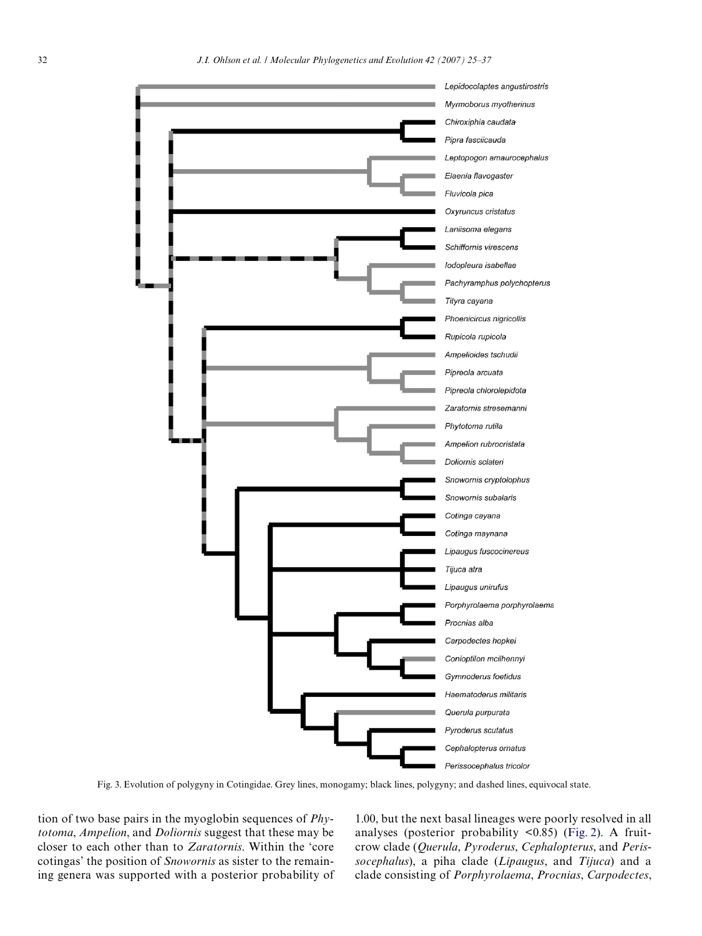

Fig. 3. Evolution of polygyny in Cotingidae. Grey lines, monogamy; black lines, polygyny; and dashed lines, equivocal state.

<span id="page-7-0"></span>tion of two base pairs in the myoglobin sequences of *Phytotoma*, *Ampelion*, and *Doliornis* suggest that these may be closer to each other than to *Zaratornis*. Within the 'core cotingas' the position of *Snowornis* as sister to the remaining genera was supported with a posterior probability of

1.00, but the next basal lineages were poorly resolved in all analyses (posterior probability <0.85) ([Fig. 2](#page-6-0)). A fruitcrow clade (*Querula*, *Pyroderus*, *Cephalopterus*, and *Perissocephalus*), a piha clade (*Lipaugus*, and *Tijuca*) and a clade consisting of *Porphyrolaema*, *Procnias*, *Carpodectes*,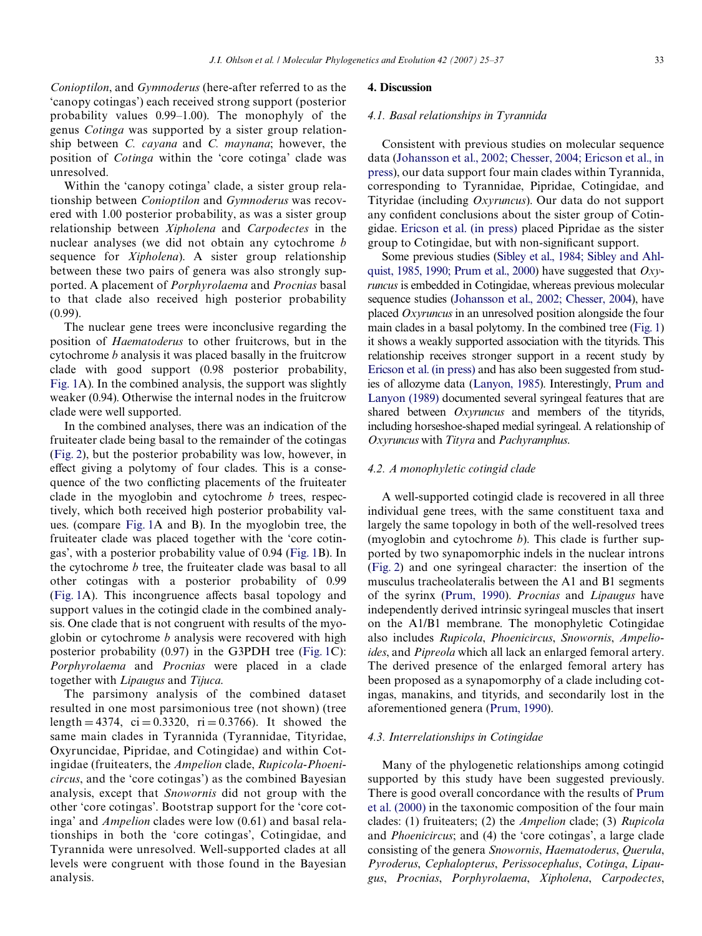*Conioptilon*, and *Gymnoderus* (here-after referred to as the 'canopy cotingas') each received strong support (posterior probability values 0.99–1.00). The monophyly of the genus *Cotinga* was supported by a sister group relationship between *C. cayana* and *C. maynana*; however, the position of *Cotinga* within the 'core cotinga' clade was unresolved.

Within the 'canopy cotinga' clade, a sister group relationship between *Conioptilon* and *Gymnoderus* was recovered with 1.00 posterior probability, as was a sister group relationship between *Xipholena* and *Carpodectes* in the nuclear analyses (we did not obtain any cytochrome *b* sequence for *Xipholena*). A sister group relationship between these two pairs of genera was also strongly supported. A placement of *Porphyrolaema* and *Procnias* basal to that clade also received high posterior probability (0.99).

The nuclear gene trees were inconclusive regarding the position of *Haematoderus* to other fruitcrows, but in the cytochrome *b* analysis it was placed basally in the fruitcrow clade with good support (0.98 posterior probability, [Fig. 1](#page-5-0)A). In the combined analysis, the support was slightly weaker (0.94). Otherwise the internal nodes in the fruitcrow clade were well supported.

In the combined analyses, there was an indication of the fruiteater clade being basal to the remainder of the cotingas ([Fig. 2\)](#page-6-0), but the posterior probability was low, however, in effect giving a polytomy of four clades. This is a consequence of the two conflicting placements of the fruiteater clade in the myoglobin and cytochrome *b* trees, respectively, which both received high posterior probability values. (compare [Fig. 1](#page-5-0)A and B). In the myoglobin tree, the fruiteater clade was placed together with the 'core cotingas', with a posterior probability value of 0.94 ([Fig. 1B](#page-5-0)). In the cytochrome *b* tree, the fruiteater clade was basal to all other cotingas with a posterior probability of 0.99  $(Fig. 1A)$  $(Fig. 1A)$  $(Fig. 1A)$ . This incongruence affects basal topology and support values in the cotingid clade in the combined analysis. One clade that is not congruent with results of the myoglobin or cytochrome *b* analysis were recovered with high posterior probability (0.97) in the G3PDH tree ([Fig. 1C](#page-5-0)): *Porphyrolaema* and *Procnias* were placed in a clade together with *Lipaugus* and *Tijuca*.

The parsimony analysis of the combined dataset resulted in one most parsimonious tree (not shown) (tree length  $= 4374$ , ci  $= 0.3320$ , ri  $= 0.3766$ ). It showed the same main clades in Tyrannida (Tyrannidae, Tityridae, Oxyruncidae, Pipridae, and Cotingidae) and within Cotingidae (fruiteaters, the *Ampelion* clade, *Rupicola-Phoenicircus*, and the 'core cotingas') as the combined Bayesian analysis, except that *Snowornis* did not group with the other 'core cotingas'. Bootstrap support for the 'core cotinga' and *Ampelion* clades were low (0.61) and basal relationships in both the 'core cotingas', Cotingidae, and Tyrannida were unresolved. Well-supported clades at all levels were congruent with those found in the Bayesian analysis.

## **4. Discussion**

# *4.1. Basal relationships in Tyrannida*

Consistent with previous studies on molecular sequence data [\(Johansson et al., 2002; Chesser, 2004; Ericson et al., in](#page-11-6) [press](#page-11-6)), our data support four main clades within Tyrannida, corresponding to Tyrannidae, Pipridae, Cotingidae, and Tityridae (including *Oxyruncus*). Our data do not support any confident conclusions about the sister group of Cotingidae. [Ericson et al. \(in press\)](#page-11-4) placed Pipridae as the sister group to Cotingidae, but with non-significant support.

Some previous studies ([Sibley et al., 1984; Sibley and Ahl](#page-12-6)[quist, 1985, 1990; Prum et al., 2000\)](#page-12-6) have suggested that *Oxyruncus* is embedded in Cotingidae, whereas previous molecular sequence studies [\(Johansson et al., 2002; Chesser, 2004\)](#page-11-6), have placed *Oxyruncus* in an unresolved position alongside the four main clades in a basal polytomy. In the combined tree [\(Fig. 1](#page-5-0)) it shows a weakly supported association with the tityrids. This relationship receives stronger support in a recent study by [Ericson et al. \(in press\)](#page-11-4) and has also been suggested from studies of allozyme data [\(Lanyon, 1985\)](#page-11-5). Interestingly, [Prum and](#page-11-3) [Lanyon \(1989\)](#page-11-3) documented several syringeal features that are shared between *Oxyruncus* and members of the tityrids, including horseshoe-shaped medial syringeal. A relationship of *Oxyruncus* with *Tityra* and *Pachyramphus*.

## *4.2. A monophyletic cotingid clade*

A well-supported cotingid clade is recovered in all three individual gene trees, with the same constituent taxa and largely the same topology in both of the well-resolved trees (myoglobin and cytochrome *b*). This clade is further supported by two synapomorphic indels in the nuclear introns [\(Fig. 2](#page-6-0)) and one syringeal character: the insertion of the musculus tracheolateralis between the A1 and B1 segments of the syrinx ([Prum, 1990](#page-11-1)). *Procnias* and *Lipaugus* have independently derived intrinsic syringeal muscles that insert on the A1/B1 membrane. The monophyletic Cotingidae also includes *Rupicola*, *Phoenicircus*, *Snowornis*, *Ampelioides*, and *Pipreola* which all lack an enlarged femoral artery. The derived presence of the enlarged femoral artery has been proposed as a synapomorphy of a clade including cotingas, manakins, and tityrids, and secondarily lost in the aforementioned genera ([Prum, 1990\)](#page-11-1).

# *4.3. Interrelationships in Cotingidae*

Many of the phylogenetic relationships among cotingid supported by this study have been suggested previously. There is good overall concordance with the results of [Prum](#page-11-2) [et al. \(2000\)](#page-11-2) in the taxonomic composition of the four main clades: (1) fruiteaters; (2) the *Ampelion* clade; (3) *Rupicola* and *Phoenicircus*; and (4) the 'core cotingas', a large clade consisting of the genera *Snowornis*, *Haematoderus*, *Querula*, *Pyroderus*, *Cephalopterus*, *Perissocephalus*, *Cotinga*, *Lipaugus*, *Procnias*, *Porphyrolaema*, *Xipholena*, *Carpodectes*,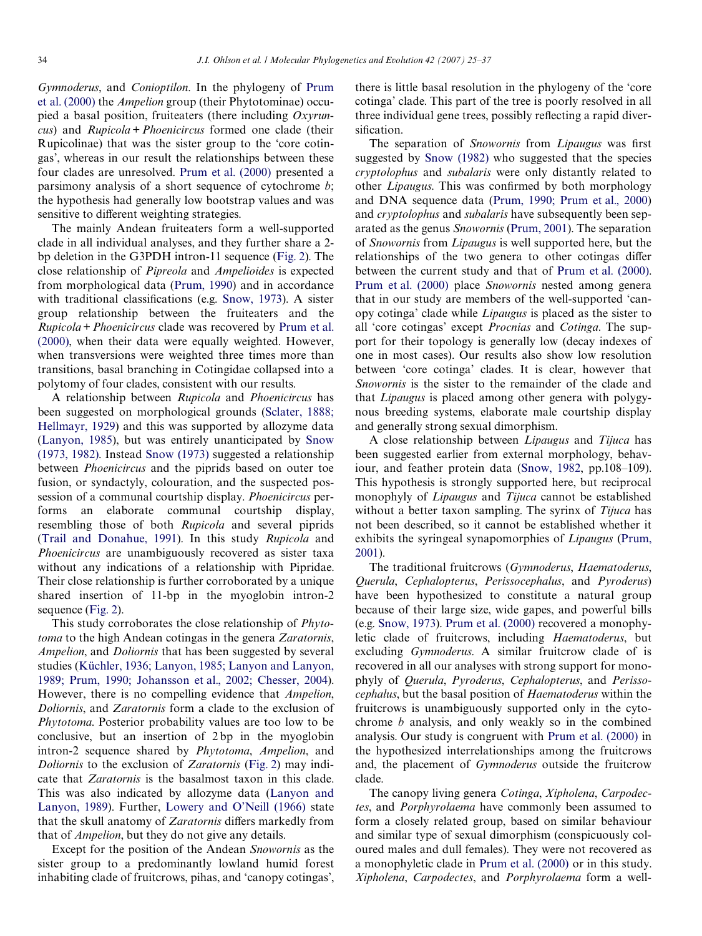*Gymnoderus*, and *Conioptilon*. In the phylogeny of [Prum](#page-11-2) [et al. \(2000\)](#page-11-2) the *Ampelion* group (their Phytotominae) occupied a basal position, fruiteaters (there including *Oxyruncus*) and *Rupicola*+*Phoenicircus* formed one clade (their Rupicolinae) that was the sister group to the 'core cotingas', whereas in our result the relationships between these four clades are unresolved. [Prum et al. \(2000\)](#page-11-2) presented a parsimony analysis of a short sequence of cytochrome *b*; the hypothesis had generally low bootstrap values and was sensitive to different weighting strategies.

The mainly Andean fruiteaters form a well-supported clade in all individual analyses, and they further share a 2 bp deletion in the G3PDH intron-11 sequence ([Fig. 2\)](#page-6-0). The close relationship of *Pipreola* and *Ampelioides* is expected from morphological data ([Prum, 1990](#page-11-1)) and in accordance with traditional classifications (e.g. [Snow, 1973](#page-12-1)). A sister group relationship between the fruiteaters and the *Rupicola*+*Phoenicircus* clade was recovered by [Prum et al.](#page-11-2) [\(2000\),](#page-11-2) when their data were equally weighted. However, when transversions were weighted three times more than transitions, basal branching in Cotingidae collapsed into a polytomy of four clades, consistent with our results.

A relationship between *Rupicola* and *Phoenicircus* has been suggested on morphological grounds [\(Sclater, 1888;](#page-12-7) [Hellmayr, 1929\)](#page-12-7) and this was supported by allozyme data [\(Lanyon, 1985](#page-11-5)), but was entirely unanticipated by [Snow](#page-12-1) [\(1973, 1982\).](#page-12-1) Instead [Snow \(1973\)](#page-12-1) suggested a relationship between *Phoenicircus* and the piprids based on outer toe fusion, or syndactyly, colouration, and the suspected possession of a communal courtship display. *Phoenicircus* performs an elaborate communal courtship display, resembling those of both *Rupicola* and several piprids (Trail and Donahue, 1991). In this study *Rupicola* and *Phoenicircus* are unambiguously recovered as sister taxa without any indications of a relationship with Pipridae. Their close relationship is further corroborated by a unique shared insertion of 11-bp in the myoglobin intron-2 sequence ([Fig. 2\)](#page-6-0).

This study corroborates the close relationship of *Phytotoma* to the high Andean cotingas in the genera *Zaratornis*, *Ampelion*, and *Doliornis* that has been suggested by several studies ([Küchler, 1936; Lanyon, 1985; Lanyon and Lanyon,](#page-11-24) [1989; Prum, 1990; Johansson et al., 2002; Chesser, 2004\)](#page-11-24). However, there is no compelling evidence that *Ampelion*, *Doliornis*, and *Zaratornis* form a clade to the exclusion of *Phytotoma*. Posterior probability values are too low to be conclusive, but an insertion of 2 bp in the myoglobin intron-2 sequence shared by *Phytotoma*, *Ampelion*, and *Doliornis* to the exclusion of *Zaratornis* ([Fig. 2\)](#page-6-0) may indicate that *Zaratornis* is the basalmost taxon in this clade. This was also indicated by allozyme data ([Lanyon and](#page-11-25) [Lanyon, 1989](#page-11-25)). Further, [Lowery and O'Neill \(1966\)](#page-11-26) state that the skull anatomy of *Zaratornis* differs markedly from that of *Ampelion*, but they do not give any details.

Except for the position of the Andean *Snowornis* as the sister group to a predominantly lowland humid forest inhabiting clade of fruitcrows, pihas, and 'canopy cotingas', there is little basal resolution in the phylogeny of the 'core cotinga' clade. This part of the tree is poorly resolved in all three individual gene trees, possibly reflecting a rapid diversification.

The separation of *Snowornis* from *Lipaugus* was first suggested by [Snow \(1982\)](#page-12-0) who suggested that the species *cryptolophus* and *subalaris* were only distantly related to other *Lipaugus*. This was confirmed by both morphology and DNA sequence data [\(Prum, 1990; Prum et al., 2000](#page-11-1)) and *cryptolophus* and *subalaris* have subsequently been separated as the genus *Snowornis* [\(Prum, 2001](#page-11-27)). The separation of *Snowornis* from *Lipaugus* is well supported here, but the relationships of the two genera to other cotingas differ between the current study and that of [Prum et al. \(2000\).](#page-11-2) [Prum et al. \(2000\)](#page-11-2) place *Snowornis* nested among genera that in our study are members of the well-supported 'canopy cotinga' clade while *Lipaugus* is placed as the sister to all 'core cotingas' except *Procnias* and *Cotinga*. The support for their topology is generally low (decay indexes of one in most cases). Our results also show low resolution between 'core cotinga' clades. It is clear, however that *Snowornis* is the sister to the remainder of the clade and that *Lipaugus* is placed among other genera with polygynous breeding systems, elaborate male courtship display and generally strong sexual dimorphism.

A close relationship between *Lipaugus* and *Tijuca* has been suggested earlier from external morphology, behaviour, and feather protein data [\(Snow, 1982,](#page-12-0) pp.108–109). This hypothesis is strongly supported here, but reciprocal monophyly of *Lipaugus* and *Tijuca* cannot be established without a better taxon sampling. The syrinx of *Tijuca* has not been described, so it cannot be established whether it exhibits the syringeal synapomorphies of *Lipaugus* ([Prum,](#page-11-27) [2001](#page-11-27)).

The traditional fruitcrows (*Gymnoderus*, *Haematoderus*, *Querula*, *Cephalopterus*, *Perissocephalus*, and *Pyroderus*) have been hypothesized to constitute a natural group because of their large size, wide gapes, and powerful bills (e.g. [Snow, 1973\)](#page-12-1). [Prum et al. \(2000\)](#page-11-2) recovered a monophyletic clade of fruitcrows, including *Haematoderus*, but excluding *Gymnoderus*. A similar fruitcrow clade of is recovered in all our analyses with strong support for monophyly of *Querula*, *Pyroderus*, *Cephalopterus*, and *Perissocephalus*, but the basal position of *Haematoderus* within the fruitcrows is unambiguously supported only in the cytochrome *b* analysis, and only weakly so in the combined analysis. Our study is congruent with [Prum et al. \(2000\)](#page-11-2) in the hypothesized interrelationships among the fruitcrows and, the placement of *Gymnoderus* outside the fruitcrow clade.

The canopy living genera *Cotinga*, *Xipholena*, *Carpodectes*, and *Porphyrolaema* have commonly been assumed to form a closely related group, based on similar behaviour and similar type of sexual dimorphism (conspicuously coloured males and dull females). They were not recovered as a monophyletic clade in [Prum et al. \(2000\)](#page-11-2) or in this study. *Xipholena*, *Carpodectes*, and *Porphyrolaema* form a well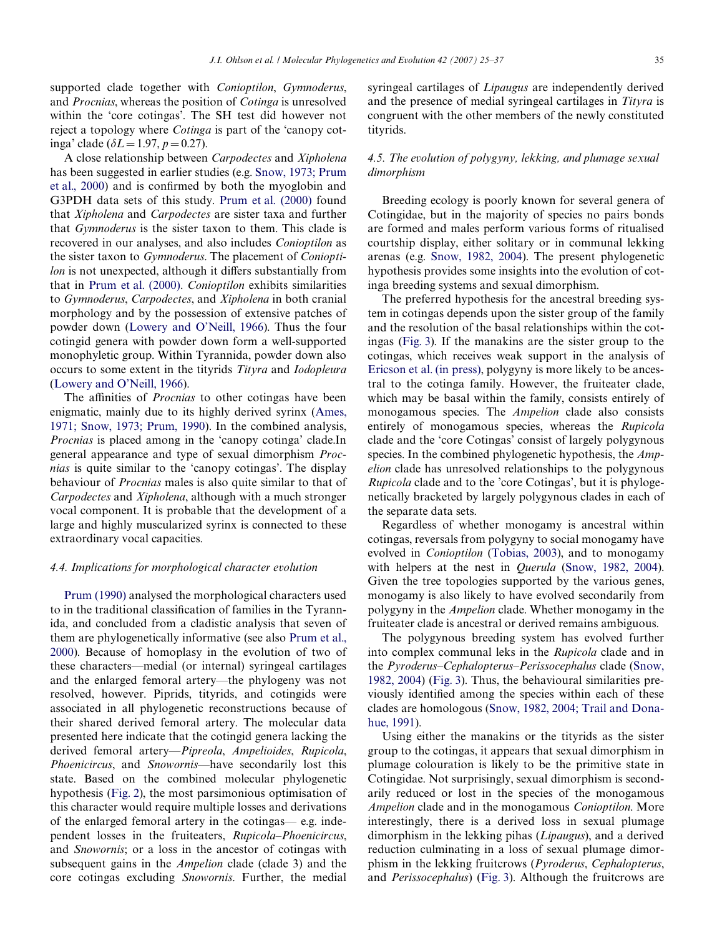supported clade together with *Conioptilon*, *Gymnoderus*, and *Procnias*, whereas the position of *Cotinga* is unresolved within the 'core cotingas'. The SH test did however not reject a topology where *Cotinga* is part of the 'canopy cotinga' clade ( $\delta L = 1.97, p = 0.27$ ).

A close relationship between *Carpodectes* and *Xipholena* has been suggested in earlier studies (e.g. [Snow, 1973; Prum](#page-12-1) [et al., 2000\)](#page-12-1) and is confirmed by both the myoglobin and G3PDH data sets of this study. [Prum et al. \(2000\)](#page-11-2) found that *Xipholena* and *Carpodectes* are sister taxa and further that *Gymnoderus* is the sister taxon to them. This clade is recovered in our analyses, and also includes *Conioptilon* as the sister taxon to *Gymnoderus*. The placement of *Conioptilon* is not unexpected, although it differs substantially from that in [Prum et al. \(2000\)](#page-11-2). *Conioptilon* exhibits similarities to *Gymnoderus*, *Carpodectes*, and *Xipholena* in both cranial morphology and by the possession of extensive patches of powder down ([Lowery and O'Neill, 1966\)](#page-11-26). Thus the four cotingid genera with powder down form a well-supported monophyletic group. Within Tyrannida, powder down also occurs to some extent in the tityrids *Tityra* and *Iodopleura* ([Lowery and O'Neill, 1966](#page-11-26)).

The affinities of *Procnias* to other cotingas have been enigmatic, mainly due to its highly derived syrinx ([Ames,](#page-11-28) [1971; Snow, 1973; Prum, 1990\)](#page-11-28). In the combined analysis, *Procnias* is placed among in the 'canopy cotinga' clade.In general appearance and type of sexual dimorphism *Procnias* is quite similar to the 'canopy cotingas'. The display behaviour of *Procnias* males is also quite similar to that of *Carpodectes* and *Xipholena*, although with a much stronger vocal component. It is probable that the development of a large and highly muscularized syrinx is connected to these extraordinary vocal capacities.

#### *4.4. Implications for morphological character evolution*

[Prum \(1990\)](#page-11-1) analysed the morphological characters used to in the traditional classification of families in the Tyrannida, and concluded from a cladistic analysis that seven of them are phylogenetically informative (see also [Prum et al.,](#page-11-2) [2000\)](#page-11-2). Because of homoplasy in the evolution of two of these characters—medial (or internal) syringeal cartilages and the enlarged femoral artery—the phylogeny was not resolved, however. Piprids, tityrids, and cotingids were associated in all phylogenetic reconstructions because of their shared derived femoral artery. The molecular data presented here indicate that the cotingid genera lacking the derived femoral artery—*Pipreola*, *Ampelioides*, *Rupicola*, *Phoenicircus*, and *Snowornis*—have secondarily lost this state. Based on the combined molecular phylogenetic hypothesis [\(Fig. 2](#page-6-0)), the most parsimonious optimisation of this character would require multiple losses and derivations of the enlarged femoral artery in the cotingas— e.g. independent losses in the fruiteaters, *Rupicola*–*Phoenicircus*, and *Snowornis*; or a loss in the ancestor of cotingas with subsequent gains in the *Ampelion* clade (clade 3) and the core cotingas excluding *Snowornis*. Further, the medial

syringeal cartilages of *Lipaugus* are independently derived and the presence of medial syringeal cartilages in *Tityra* is congruent with the other members of the newly constituted tityrids.

# *4.5. The evolution of polygyny, lekking, and plumage sexual dimorphism*

Breeding ecology is poorly known for several genera of Cotingidae, but in the majority of species no pairs bonds are formed and males perform various forms of ritualised courtship display, either solitary or in communal lekking arenas (e.g. [Snow, 1982, 2004\)](#page-12-0). The present phylogenetic hypothesis provides some insights into the evolution of cotinga breeding systems and sexual dimorphism.

The preferred hypothesis for the ancestral breeding system in cotingas depends upon the sister group of the family and the resolution of the basal relationships within the cotingas [\(Fig. 3](#page-7-0)). If the manakins are the sister group to the cotingas, which receives weak support in the analysis of [Ericson et al. \(in press\)](#page-11-4), polygyny is more likely to be ancestral to the cotinga family. However, the fruiteater clade, which may be basal within the family, consists entirely of monogamous species. The *Ampelion* clade also consists entirely of monogamous species, whereas the *Rupicola* clade and the 'core Cotingas' consist of largely polygynous species. In the combined phylogenetic hypothesis, the *Ampelion* clade has unresolved relationships to the polygynous *Rupicola* clade and to the 'core Cotingas', but it is phylogenetically bracketed by largely polygynous clades in each of the separate data sets.

Regardless of whether monogamy is ancestral within cotingas, reversals from polygyny to social monogamy have evolved in *Conioptilon* (Tobias, 2003), and to monogamy with helpers at the nest in *Querula* ([Snow, 1982, 2004](#page-12-0)). Given the tree topologies supported by the various genes, monogamy is also likely to have evolved secondarily from polygyny in the *Ampelion* clade. Whether monogamy in the fruiteater clade is ancestral or derived remains ambiguous.

The polygynous breeding system has evolved further into complex communal leks in the *Rupicola* clade and in the *Pyroderus*–*Cephalopterus*–*Perissocephalus* clade [\(Snow,](#page-12-0) [1982, 2004](#page-12-0)) [\(Fig. 3](#page-7-0)). Thus, the behavioural similarities previously identified among the species within each of these clades are homologous [\(Snow, 1982, 2004; Trail and Dona](#page-12-0)[hue, 1991](#page-12-0)).

Using either the manakins or the tityrids as the sister group to the cotingas, it appears that sexual dimorphism in plumage colouration is likely to be the primitive state in Cotingidae. Not surprisingly, sexual dimorphism is secondarily reduced or lost in the species of the monogamous *Ampelion* clade and in the monogamous *Conioptilon*. More interestingly, there is a derived loss in sexual plumage dimorphism in the lekking pihas (*Lipaugus*), and a derived reduction culminating in a loss of sexual plumage dimorphism in the lekking fruitcrows (*Pyroderus*, *Cephalopterus*, and *Perissocephalus*) ([Fig. 3\)](#page-7-0). Although the fruitcrows are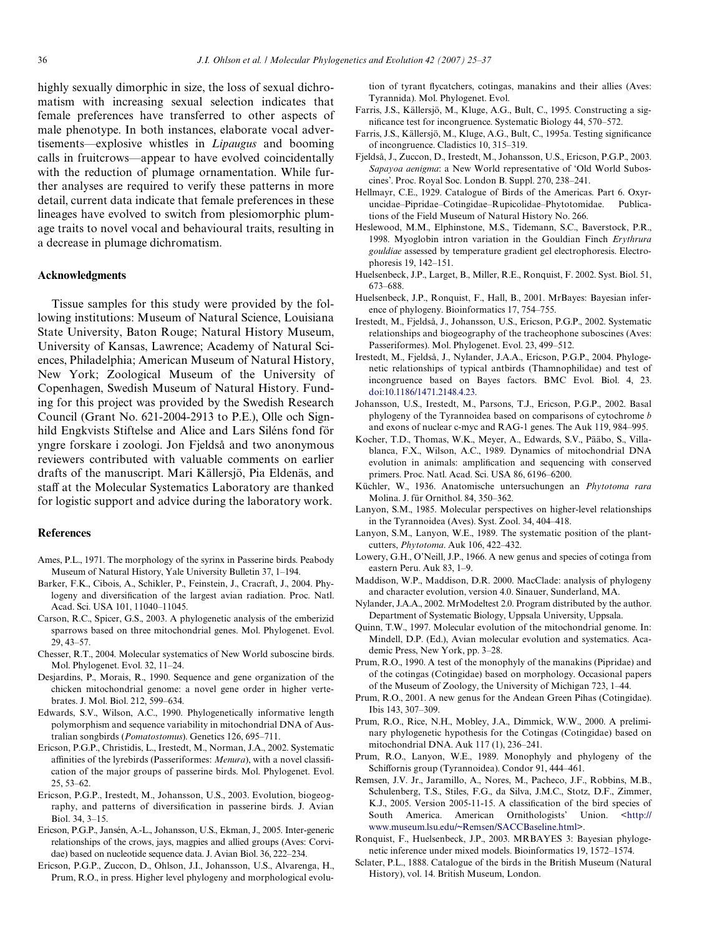highly sexually dimorphic in size, the loss of sexual dichromatism with increasing sexual selection indicates that female preferences have transferred to other aspects of male phenotype. In both instances, elaborate vocal advertisements—explosive whistles in *Lipaugus* and booming calls in fruitcrows—appear to have evolved coincidentally with the reduction of plumage ornamentation. While further analyses are required to verify these patterns in more detail, current data indicate that female preferences in these lineages have evolved to switch from plesiomorphic plumage traits to novel vocal and behavioural traits, resulting in a decrease in plumage dichromatism.

# **Acknowledgments**

Tissue samples for this study were provided by the following institutions: Museum of Natural Science, Louisiana State University, Baton Rouge; Natural History Museum, University of Kansas, Lawrence; Academy of Natural Sciences, Philadelphia; American Museum of Natural History, New York; Zoological Museum of the University of Copenhagen, Swedish Museum of Natural History. Funding for this project was provided by the Swedish Research Council (Grant No. 621-2004-2913 to P.E.), Olle och Signhild Engkvists Stiftelse and Alice and Lars Siléns fond för yngre forskare i zoologi. Jon Fjeldså and two anonymous reviewers contributed with valuable comments on earlier drafts of the manuscript. Mari Källersjö, Pia Eldenäs, and staff at the Molecular Systematics Laboratory are thanked for logistic support and advice during the laboratory work.

# **References**

- <span id="page-11-28"></span>Ames, P.L., 1971. The morphology of the syrinx in Passerine birds. Peabody Museum of Natural History, Yale University Bulletin 37, 1–194.
- Barker, F.K., Cibois, A., Schikler, P., Feinstein, J., Cracraft, J., 2004. Phylogeny and diversification of the largest avian radiation. Proc. Natl. Acad. Sci. USA 101, 11040–11045.
- <span id="page-11-23"></span>Carson, R.C., Spicer, G.S., 2003. A phylogenetic analysis of the emberizid sparrows based on three mitochondrial genes. Mol. Phylogenet. Evol. 29, 43–57.
- Chesser, R.T., 2004. Molecular systematics of New World suboscine birds. Mol. Phylogenet. Evol. 32, 11–24.
- <span id="page-11-22"></span>Desjardins, P., Morais, R., 1990. Sequence and gene organization of the chicken mitochondrial genome: a novel gene order in higher vertebrates. J. Mol. Biol. 212, 599–634.
- Edwards, S.V., Wilson, A.C., 1990. Phylogenetically informative length polymorphism and sequence variability in mitochondrial DNA of Australian songbirds (*Pomatostomus*). Genetics 126, 695–711.
- <span id="page-11-14"></span>Ericson, P.G.P., Christidis, L., Irestedt, M., Norman, J.A., 2002. Systematic affinities of the lyrebirds (Passeriformes: *Menura*), with a novel classification of the major groups of passerine birds. Mol. Phylogenet. Evol. 25, 53–62.
- <span id="page-11-8"></span>Ericson, P.G.P., Irestedt, M., Johansson, U.S., 2003. Evolution, biogeography, and patterns of diversification in passerine birds. J. Avian Biol. 34, 3–15.
- <span id="page-11-0"></span>Ericson, P.G.P., Jansén, A.-L., Johansson, U.S., Ekman, J., 2005. Inter-generic relationships of the crows, jays, magpies and allied groups (Aves: Corvidae) based on nucleotide sequence data. J. Avian Biol. 36, 222–234.
- <span id="page-11-15"></span>Ericson, P.G.P., Zuccon, D., Ohlson, J.I., Johansson, U.S., Alvarenga, H., Prum, R.O., in press. Higher level phylogeny and morphological evolu-

tion of tyrant flycatchers, cotingas, manakins and their allies (Aves: Tyrannida). Mol. Phylogenet. Evol.

- <span id="page-11-4"></span>Farris, J.S., Källersjö, M., Kluge, A.G., Bult, C., 1995. Constructing a significance test for incongruence. Systematic Biology 44, 570–572.
- <span id="page-11-17"></span>Farris, J.S., Källersjö, M., Kluge, A.G., Bult, C., 1995a. Testing significance of incongruence. Cladistics 10, 315–319.
- Fjeldså, J., Zuccon, D., Irestedt, M., Johansson, U.S., Ericson, P.G.P., 2003. *Sapayoa aenigma*: a New World representative of 'Old World Suboscines'. Proc. Royal Soc. London B. Suppl. 270, 238–241.
- <span id="page-11-10"></span>Hellmayr, C.E., 1929. Catalogue of Birds of the Americas. Part 6. Oxyruncidae–Pipridae–Cotingidae–Rupicolidae–Phytotomidae. Publications of the Field Museum of Natural History No. 266.
- Heslewood, M.M., Elphinstone, M.S., Tidemann, S.C., Baverstock, P.R., 1998. Myoglobin intron variation in the Gouldian Finch *Erythrura gouldiae* assessed by temperature gradient gel electrophoresis. Electrophoresis 19, 142–151.
- <span id="page-11-12"></span>Huelsenbeck, J.P., Larget, B., Miller, R.E., Ronquist, F. 2002. Syst. Biol. 51, 673–688.
- <span id="page-11-20"></span>Huelsenbeck, J.P., Ronquist, F., Hall, B., 2001. MrBayes: Bayesian inference of phylogeny. Bioinformatics 17, 754–755.
- <span id="page-11-18"></span>Irestedt, M., Fjeldså, J., Johansson, U.S., Ericson, P.G.P., 2002. Systematic relationships and biogeography of the tracheophone suboscines (Aves: Passeriformes). Mol. Phylogenet. Evol. 23, 499–512.
- Irestedt, M., Fjeldså, J., Nylander, J.A.A., Ericson, P.G.P., 2004. Phylogenetic relationships of typical antbirds (Thamnophilidae) and test of incongruence based on Bayes factors. BMC Evol. Biol. 4, 23. [doi:10.1186/1471.2148.4.23.](http://dx.doi.org/)
- <span id="page-11-9"></span>Johansson, U.S., Irestedt, M., Parsons, T.J., Ericson, P.G.P., 2002. Basal phylogeny of the Tyrannoidea based on comparisons of cytochrome *b* and exons of nuclear c-myc and RAG-1 genes. The Auk 119, 984–995.
- <span id="page-11-11"></span>Kocher, T.D., Thomas, W.K., Meyer, A., Edwards, S.V., Pääbo, S., Villablanca, F.X., Wilson, A.C., 1989. Dynamics of mitochondrial DNA evolution in animals: amplification and sequencing with conserved primers. Proc. Natl. Acad. Sci. USA 86, 6196–6200.
- <span id="page-11-6"></span>Küchler, W., 1936. Anatomische untersuchungen an *Phytotoma rara* Molina. J. für Ornithol. 84, 350–362.
- <span id="page-11-13"></span>Lanyon, S.M., 1985. Molecular perspectives on higher-level relationships in the Tyrannoidea (Aves). Syst. Zool. 34, 404–418.
- <span id="page-11-24"></span>Lanyon, S.M., Lanyon, W.E., 1989. The systematic position of the plantcutters, *Phytotoma*. Auk 106, 422–432.
- <span id="page-11-5"></span>Lowery, G.H., O'Neill, J.P., 1966. A new genus and species of cotinga from eastern Peru. Auk 83, 1–9.
- <span id="page-11-25"></span>Maddison, W.P., Maddison, D.R. 2000. MacClade: analysis of phylogeny and character evolution, version 4.0. Sinauer, Sunderland, MA.
- <span id="page-11-26"></span>Nylander, J.A.A., 2002. MrModeltest 2.0. Program distributed by the author. Department of Systematic Biology, Uppsala University, Uppsala.
- <span id="page-11-21"></span>Quinn, T.W., 1997. Molecular evolution of the mitochondrial genome. In: Mindell, D.P. (Ed.), Avian molecular evolution and systematics. Academic Press, New York, pp. 3–28.
- <span id="page-11-19"></span>Prum, R.O., 1990. A test of the monophyly of the manakins (Pipridae) and of the cotingas (Cotingidae) based on morphology. Occasional papers of the Museum of Zoology, the University of Michigan 723, 1–44.
- <span id="page-11-16"></span>Prum, R.O., 2001. A new genus for the Andean Green Pihas (Cotingidae). Ibis 143, 307–309.
- <span id="page-11-1"></span>Prum, R.O., Rice, N.H., Mobley, J.A., Dimmick, W.W., 2000. A preliminary phylogenetic hypothesis for the Cotingas (Cotingidae) based on mitochondrial DNA. Auk 117 (1), 236–241.
- <span id="page-11-27"></span>Prum, R.O., Lanyon, W.E., 1989. Monophyly and phylogeny of the Schiffornis group (Tyrannoidea). Condor 91, 444-461.
- <span id="page-11-2"></span>Remsen, J.V. Jr., Jaramillo, A., Nores, M., Pacheco, J.F., Robbins, M.B., Schulenberg, T.S., Stiles, F.G., da Silva, J.M.C., Stotz, D.F., Zimmer, K.J., 2005. Version 2005-11-15. A classification of the bird species of South America. American Ornithologists' Union. <[http://](http://www.museum.lsu.edu/~Remsen/SACCBaseline.html) [www.museum.lsu.edu/~Remsen/SACCBaseline.html](http://www.museum.lsu.edu/~Remsen/SACCBaseline.html)>.
- <span id="page-11-3"></span>Ronquist, F., Huelsenbeck, J.P., 2003. MRBAYES 3: Bayesian phylogenetic inference under mixed models. Bioinformatics 19, 1572–1574.
- <span id="page-11-7"></span>Sclater, P.L., 1888. Catalogue of the birds in the British Museum (Natural History), vol. 14. British Museum, London.